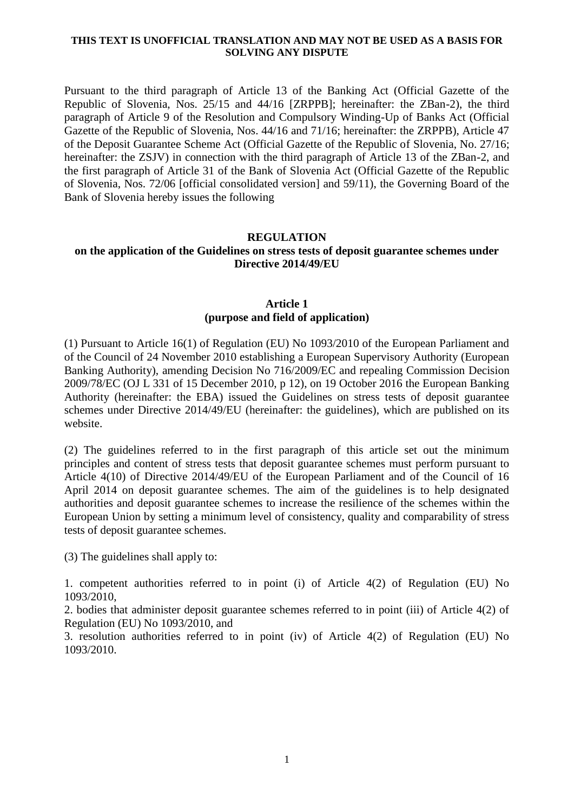#### **THIS TEXT IS UNOFFICIAL TRANSLATION AND MAY NOT BE USED AS A BASIS FOR SOLVING ANY DISPUTE**

Pursuant to the third paragraph of Article 13 of the Banking Act (Official Gazette of the Republic of Slovenia, Nos. 25/15 and 44/16 [ZRPPB]; hereinafter: the ZBan-2), the third paragraph of Article 9 of the Resolution and Compulsory Winding-Up of Banks Act (Official Gazette of the Republic of Slovenia, Nos. 44/16 and 71/16; hereinafter: the ZRPPB), Article 47 of the Deposit Guarantee Scheme Act (Official Gazette of the Republic of Slovenia, No. 27/16; hereinafter: the ZSJV) in connection with the third paragraph of Article 13 of the ZBan-2, and the first paragraph of Article 31 of the Bank of Slovenia Act (Official Gazette of the Republic of Slovenia, Nos. 72/06 [official consolidated version] and 59/11), the Governing Board of the Bank of Slovenia hereby issues the following

#### **REGULATION**

## **on the application of the Guidelines on stress tests of deposit guarantee schemes under Directive 2014/49/EU**

### **Article 1 (purpose and field of application)**

(1) Pursuant to Article 16(1) of Regulation (EU) No 1093/2010 of the European Parliament and of the Council of 24 November 2010 establishing a European Supervisory Authority (European Banking Authority), amending Decision No 716/2009/EC and repealing Commission Decision 2009/78/EC (OJ L 331 of 15 December 2010, p 12), on 19 October 2016 the European Banking Authority (hereinafter: the EBA) issued the Guidelines on stress tests of deposit guarantee schemes under Directive 2014/49/EU (hereinafter: the guidelines), which are published on its website.

(2) The guidelines referred to in the first paragraph of this article set out the minimum principles and content of stress tests that deposit guarantee schemes must perform pursuant to Article 4(10) of Directive 2014/49/EU of the European Parliament and of the Council of 16 April 2014 on deposit guarantee schemes. The aim of the guidelines is to help designated authorities and deposit guarantee schemes to increase the resilience of the schemes within the European Union by setting a minimum level of consistency, quality and comparability of stress tests of deposit guarantee schemes.

(3) The guidelines shall apply to:

1. competent authorities referred to in point (i) of Article 4(2) of Regulation (EU) No 1093/2010,

2. bodies that administer deposit guarantee schemes referred to in point (iii) of Article 4(2) of Regulation (EU) No 1093/2010, and

3. resolution authorities referred to in point (iv) of Article 4(2) of Regulation (EU) No 1093/2010.